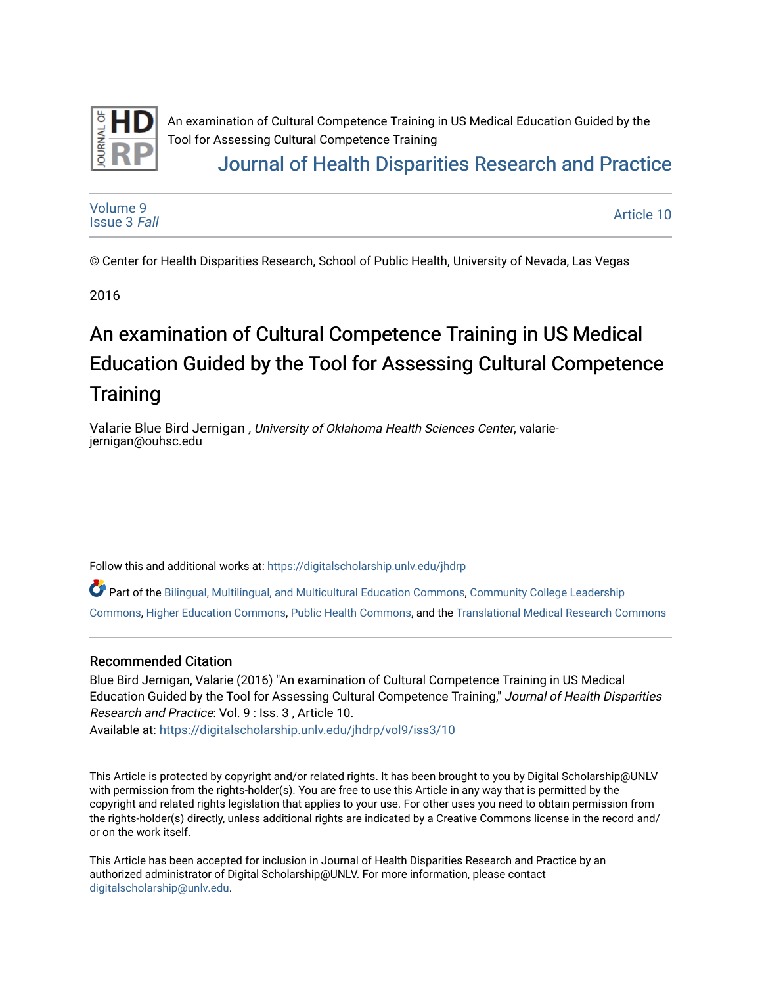

# [Journal of Health Disparities Research and Practice](https://digitalscholarship.unlv.edu/jhdrp)

[Article 10](https://digitalscholarship.unlv.edu/jhdrp/vol9/iss3/10) 

[Volume 9](https://digitalscholarship.unlv.edu/jhdrp/vol9) [Issue 3](https://digitalscholarship.unlv.edu/jhdrp/vol9/iss3) Fall

© Center for Health Disparities Research, School of Public Health, University of Nevada, Las Vegas

2016

# An examination of Cultural Competence Training in US Medical Education Guided by the Tool for Assessing Cultural Competence **Training**

Valarie Blue Bird Jernigan , University of Oklahoma Health Sciences Center, valariejernigan@ouhsc.edu

Follow this and additional works at: [https://digitalscholarship.unlv.edu/jhdrp](https://digitalscholarship.unlv.edu/jhdrp?utm_source=digitalscholarship.unlv.edu%2Fjhdrp%2Fvol9%2Fiss3%2F10&utm_medium=PDF&utm_campaign=PDFCoverPages) 

Part of the [Bilingual, Multilingual, and Multicultural Education Commons,](http://network.bepress.com/hgg/discipline/785?utm_source=digitalscholarship.unlv.edu%2Fjhdrp%2Fvol9%2Fiss3%2F10&utm_medium=PDF&utm_campaign=PDFCoverPages) [Community College Leadership](http://network.bepress.com/hgg/discipline/1039?utm_source=digitalscholarship.unlv.edu%2Fjhdrp%2Fvol9%2Fiss3%2F10&utm_medium=PDF&utm_campaign=PDFCoverPages) [Commons,](http://network.bepress.com/hgg/discipline/1039?utm_source=digitalscholarship.unlv.edu%2Fjhdrp%2Fvol9%2Fiss3%2F10&utm_medium=PDF&utm_campaign=PDFCoverPages) [Higher Education Commons,](http://network.bepress.com/hgg/discipline/1245?utm_source=digitalscholarship.unlv.edu%2Fjhdrp%2Fvol9%2Fiss3%2F10&utm_medium=PDF&utm_campaign=PDFCoverPages) [Public Health Commons,](http://network.bepress.com/hgg/discipline/738?utm_source=digitalscholarship.unlv.edu%2Fjhdrp%2Fvol9%2Fiss3%2F10&utm_medium=PDF&utm_campaign=PDFCoverPages) and the [Translational Medical Research Commons](http://network.bepress.com/hgg/discipline/1124?utm_source=digitalscholarship.unlv.edu%2Fjhdrp%2Fvol9%2Fiss3%2F10&utm_medium=PDF&utm_campaign=PDFCoverPages) 

### Recommended Citation

Blue Bird Jernigan, Valarie (2016) "An examination of Cultural Competence Training in US Medical Education Guided by the Tool for Assessing Cultural Competence Training," Journal of Health Disparities Research and Practice: Vol. 9 : Iss. 3 , Article 10.

Available at: [https://digitalscholarship.unlv.edu/jhdrp/vol9/iss3/10](https://digitalscholarship.unlv.edu/jhdrp/vol9/iss3/10?utm_source=digitalscholarship.unlv.edu%2Fjhdrp%2Fvol9%2Fiss3%2F10&utm_medium=PDF&utm_campaign=PDFCoverPages) 

This Article is protected by copyright and/or related rights. It has been brought to you by Digital Scholarship@UNLV with permission from the rights-holder(s). You are free to use this Article in any way that is permitted by the copyright and related rights legislation that applies to your use. For other uses you need to obtain permission from the rights-holder(s) directly, unless additional rights are indicated by a Creative Commons license in the record and/ or on the work itself.

This Article has been accepted for inclusion in Journal of Health Disparities Research and Practice by an authorized administrator of Digital Scholarship@UNLV. For more information, please contact [digitalscholarship@unlv.edu](mailto:digitalscholarship@unlv.edu).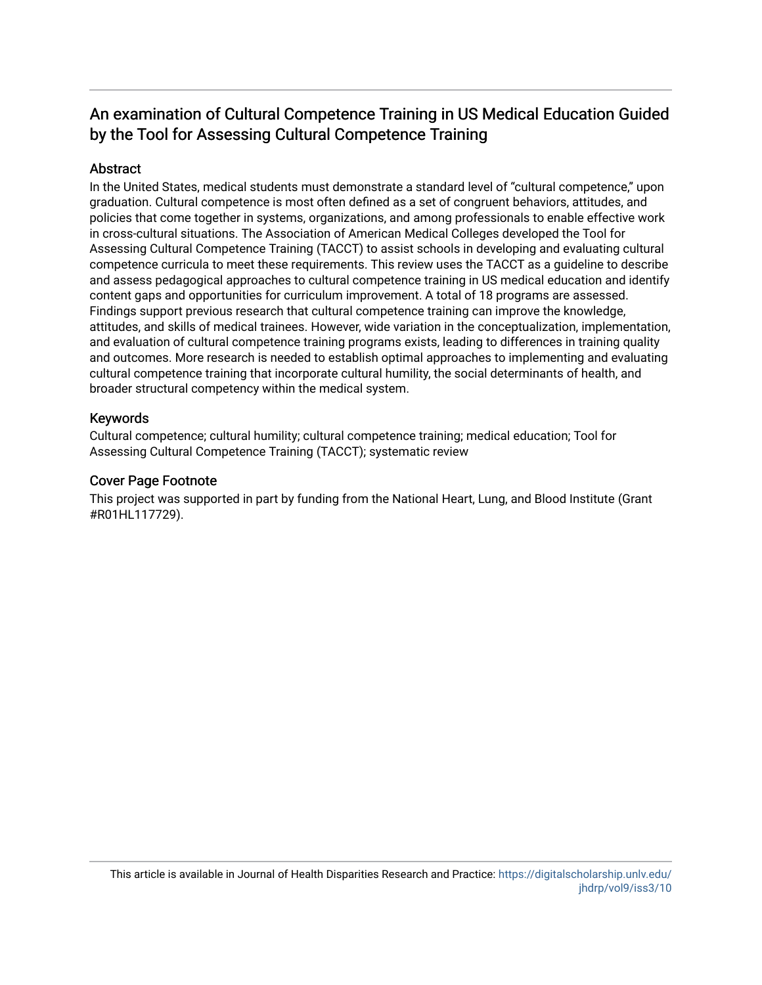#### Abstract

In the United States, medical students must demonstrate a standard level of "cultural competence," upon graduation. Cultural competence is most often defined as a set of congruent behaviors, attitudes, and policies that come together in systems, organizations, and among professionals to enable effective work in cross-cultural situations. The Association of American Medical Colleges developed the Tool for Assessing Cultural Competence Training (TACCT) to assist schools in developing and evaluating cultural competence curricula to meet these requirements. This review uses the TACCT as a guideline to describe and assess pedagogical approaches to cultural competence training in US medical education and identify content gaps and opportunities for curriculum improvement. A total of 18 programs are assessed. Findings support previous research that cultural competence training can improve the knowledge, attitudes, and skills of medical trainees. However, wide variation in the conceptualization, implementation, and evaluation of cultural competence training programs exists, leading to differences in training quality and outcomes. More research is needed to establish optimal approaches to implementing and evaluating cultural competence training that incorporate cultural humility, the social determinants of health, and broader structural competency within the medical system.

#### Keywords

Cultural competence; cultural humility; cultural competence training; medical education; Tool for Assessing Cultural Competence Training (TACCT); systematic review

#### Cover Page Footnote

This project was supported in part by funding from the National Heart, Lung, and Blood Institute (Grant #R01HL117729).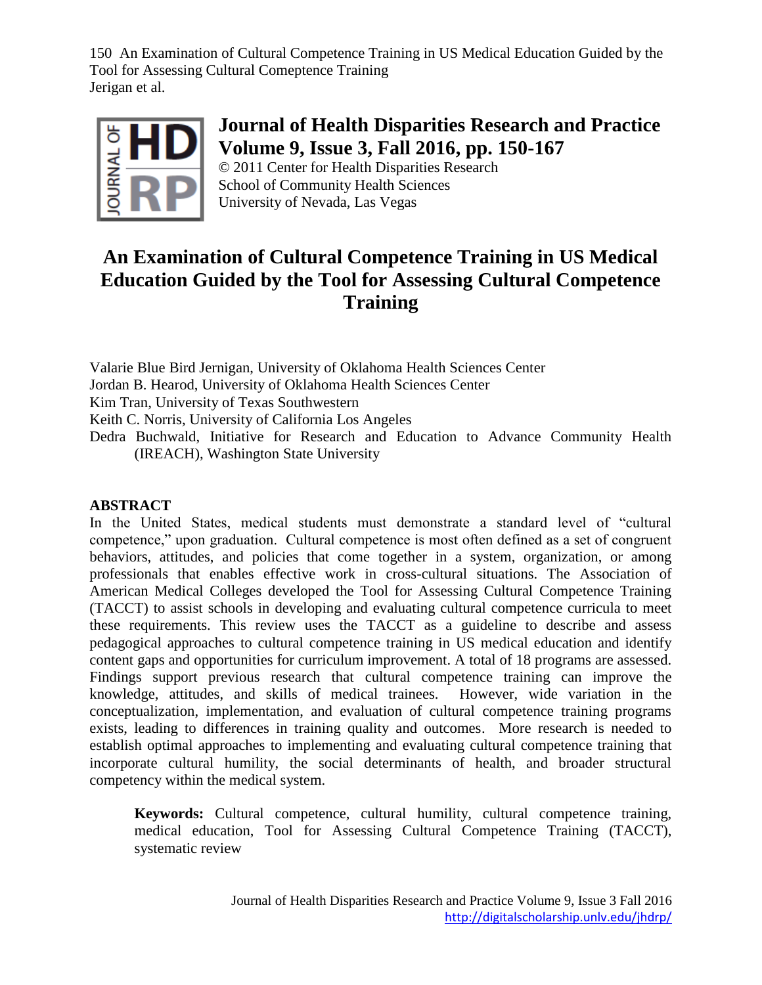

# **Journal of Health Disparities Research and Practice Volume 9, Issue 3, Fall 2016, pp. 150-167**

© 2011 Center for Health Disparities Research School of Community Health Sciences University of Nevada, Las Vegas

# **An Examination of Cultural Competence Training in US Medical Education Guided by the Tool for Assessing Cultural Competence Training**

Valarie Blue Bird Jernigan, University of Oklahoma Health Sciences Center Jordan B. Hearod, University of Oklahoma Health Sciences Center Kim Tran, University of Texas Southwestern Keith C. Norris, University of California Los Angeles Dedra Buchwald, Initiative for Research and Education to Advance Community Health (IREACH), Washington State University

# **ABSTRACT**

In the United States, medical students must demonstrate a standard level of "cultural competence," upon graduation. Cultural competence is most often defined as a set of congruent behaviors, attitudes, and policies that come together in a system, organization, or among professionals that enables effective work in cross-cultural situations. The Association of American Medical Colleges developed the Tool for Assessing Cultural Competence Training (TACCT) to assist schools in developing and evaluating cultural competence curricula to meet these requirements. This review uses the TACCT as a guideline to describe and assess pedagogical approaches to cultural competence training in US medical education and identify content gaps and opportunities for curriculum improvement. A total of 18 programs are assessed. Findings support previous research that cultural competence training can improve the knowledge, attitudes, and skills of medical trainees. However, wide variation in the conceptualization, implementation, and evaluation of cultural competence training programs exists, leading to differences in training quality and outcomes. More research is needed to establish optimal approaches to implementing and evaluating cultural competence training that incorporate cultural humility, the social determinants of health, and broader structural competency within the medical system.

**Keywords:** Cultural competence, cultural humility, cultural competence training, medical education, Tool for Assessing Cultural Competence Training (TACCT), systematic review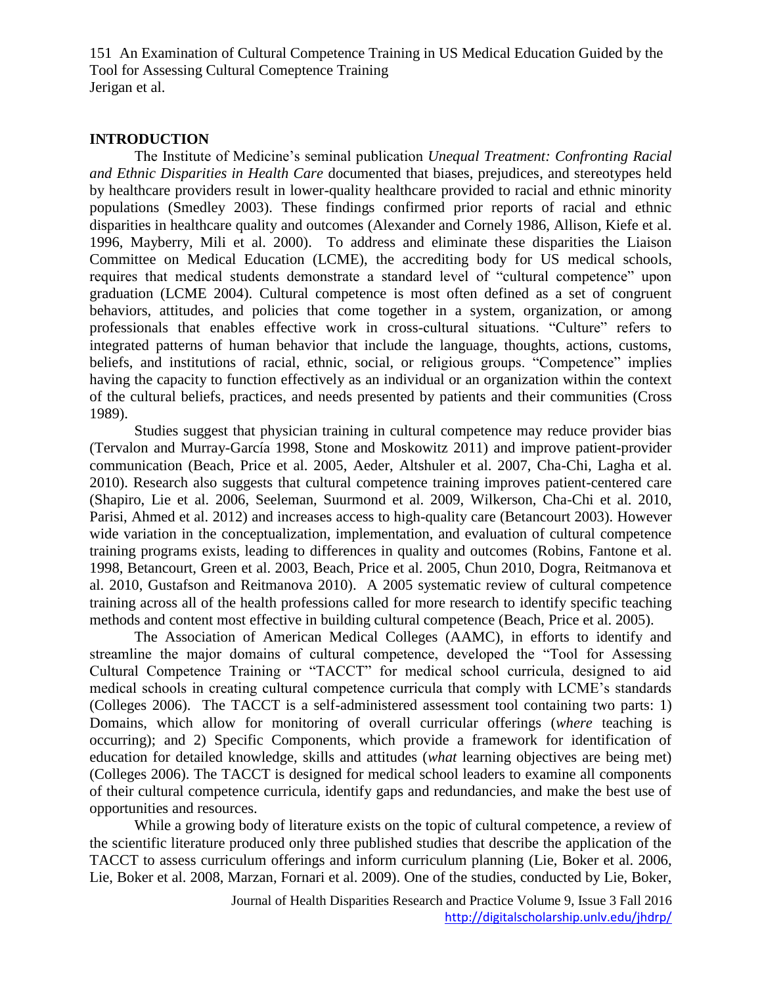#### **INTRODUCTION**

The Institute of Medicine's seminal publication *Unequal Treatment: Confronting Racial and Ethnic Disparities in Health Care* documented that biases, prejudices, and stereotypes held by healthcare providers result in lower-quality healthcare provided to racial and ethnic minority populations (Smedley 2003). These findings confirmed prior reports of racial and ethnic disparities in healthcare quality and outcomes (Alexander and Cornely 1986, Allison, Kiefe et al. 1996, Mayberry, Mili et al. 2000). To address and eliminate these disparities the Liaison Committee on Medical Education (LCME), the accrediting body for US medical schools, requires that medical students demonstrate a standard level of "cultural competence" upon graduation (LCME 2004). Cultural competence is most often defined as a set of congruent behaviors, attitudes, and policies that come together in a system, organization, or among professionals that enables effective work in cross-cultural situations. "Culture" refers to integrated patterns of human behavior that include the language, thoughts, actions, customs, beliefs, and institutions of racial, ethnic, social, or religious groups. "Competence" implies having the capacity to function effectively as an individual or an organization within the context of the cultural beliefs, practices, and needs presented by patients and their communities (Cross 1989).

Studies suggest that physician training in cultural competence may reduce provider bias (Tervalon and Murray-García 1998, Stone and Moskowitz 2011) and improve patient-provider communication (Beach, Price et al. 2005, Aeder, Altshuler et al. 2007, Cha-Chi, Lagha et al. 2010). Research also suggests that cultural competence training improves patient-centered care (Shapiro, Lie et al. 2006, Seeleman, Suurmond et al. 2009, Wilkerson, Cha-Chi et al. 2010, Parisi, Ahmed et al. 2012) and increases access to high-quality care (Betancourt 2003). However wide variation in the conceptualization, implementation, and evaluation of cultural competence training programs exists, leading to differences in quality and outcomes (Robins, Fantone et al. 1998, Betancourt, Green et al. 2003, Beach, Price et al. 2005, Chun 2010, Dogra, Reitmanova et al. 2010, Gustafson and Reitmanova 2010). A 2005 systematic review of cultural competence training across all of the health professions called for more research to identify specific teaching methods and content most effective in building cultural competence (Beach, Price et al. 2005).

The Association of American Medical Colleges (AAMC), in efforts to identify and streamline the major domains of cultural competence, developed the "Tool for Assessing Cultural Competence Training or "TACCT" for medical school curricula, designed to aid medical schools in creating cultural competence curricula that comply with LCME's standards (Colleges 2006). The TACCT is a self-administered assessment tool containing two parts: 1) Domains, which allow for monitoring of overall curricular offerings (*where* teaching is occurring); and 2) Specific Components, which provide a framework for identification of education for detailed knowledge, skills and attitudes (*what* learning objectives are being met) (Colleges 2006). The TACCT is designed for medical school leaders to examine all components of their cultural competence curricula, identify gaps and redundancies, and make the best use of opportunities and resources.

While a growing body of literature exists on the topic of cultural competence, a review of the scientific literature produced only three published studies that describe the application of the TACCT to assess curriculum offerings and inform curriculum planning (Lie, Boker et al. 2006, Lie, Boker et al. 2008, Marzan, Fornari et al. 2009). One of the studies, conducted by Lie, Boker,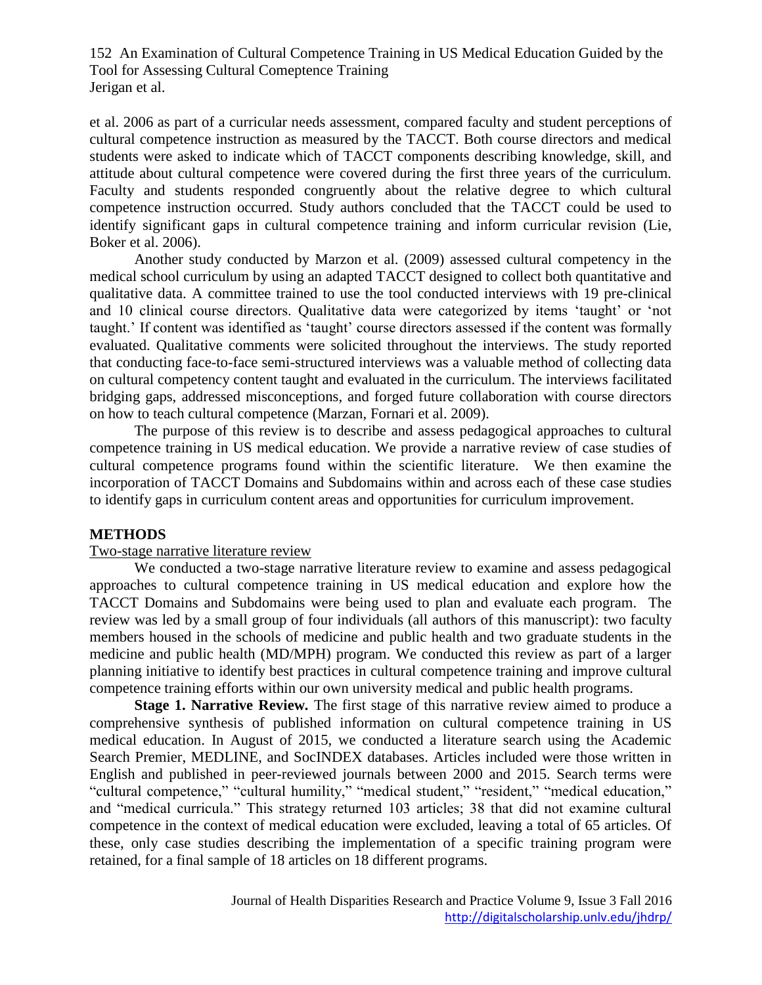et al. 2006 as part of a curricular needs assessment, compared faculty and student perceptions of cultural competence instruction as measured by the TACCT. Both course directors and medical students were asked to indicate which of TACCT components describing knowledge, skill, and attitude about cultural competence were covered during the first three years of the curriculum. Faculty and students responded congruently about the relative degree to which cultural competence instruction occurred. Study authors concluded that the TACCT could be used to identify significant gaps in cultural competence training and inform curricular revision (Lie, Boker et al. 2006).

Another study conducted by Marzon et al. (2009) assessed cultural competency in the medical school curriculum by using an adapted TACCT designed to collect both quantitative and qualitative data. A committee trained to use the tool conducted interviews with 19 pre-clinical and 10 clinical course directors. Qualitative data were categorized by items 'taught' or 'not taught.' If content was identified as 'taught' course directors assessed if the content was formally evaluated. Qualitative comments were solicited throughout the interviews. The study reported that conducting face-to-face semi-structured interviews was a valuable method of collecting data on cultural competency content taught and evaluated in the curriculum. The interviews facilitated bridging gaps, addressed misconceptions, and forged future collaboration with course directors on how to teach cultural competence (Marzan, Fornari et al. 2009).

The purpose of this review is to describe and assess pedagogical approaches to cultural competence training in US medical education. We provide a narrative review of case studies of cultural competence programs found within the scientific literature. We then examine the incorporation of TACCT Domains and Subdomains within and across each of these case studies to identify gaps in curriculum content areas and opportunities for curriculum improvement.

#### **METHODS**

#### Two-stage narrative literature review

We conducted a two-stage narrative literature review to examine and assess pedagogical approaches to cultural competence training in US medical education and explore how the TACCT Domains and Subdomains were being used to plan and evaluate each program. The review was led by a small group of four individuals (all authors of this manuscript): two faculty members housed in the schools of medicine and public health and two graduate students in the medicine and public health (MD/MPH) program. We conducted this review as part of a larger planning initiative to identify best practices in cultural competence training and improve cultural competence training efforts within our own university medical and public health programs.

**Stage 1. Narrative Review***.* The first stage of this narrative review aimed to produce a comprehensive synthesis of published information on cultural competence training in US medical education. In August of 2015, we conducted a literature search using the Academic Search Premier, MEDLINE, and SocINDEX databases. Articles included were those written in English and published in peer-reviewed journals between 2000 and 2015. Search terms were "cultural competence," "cultural humility," "medical student," "resident," "medical education," and "medical curricula." This strategy returned 103 articles; 38 that did not examine cultural competence in the context of medical education were excluded, leaving a total of 65 articles. Of these, only case studies describing the implementation of a specific training program were retained, for a final sample of 18 articles on 18 different programs.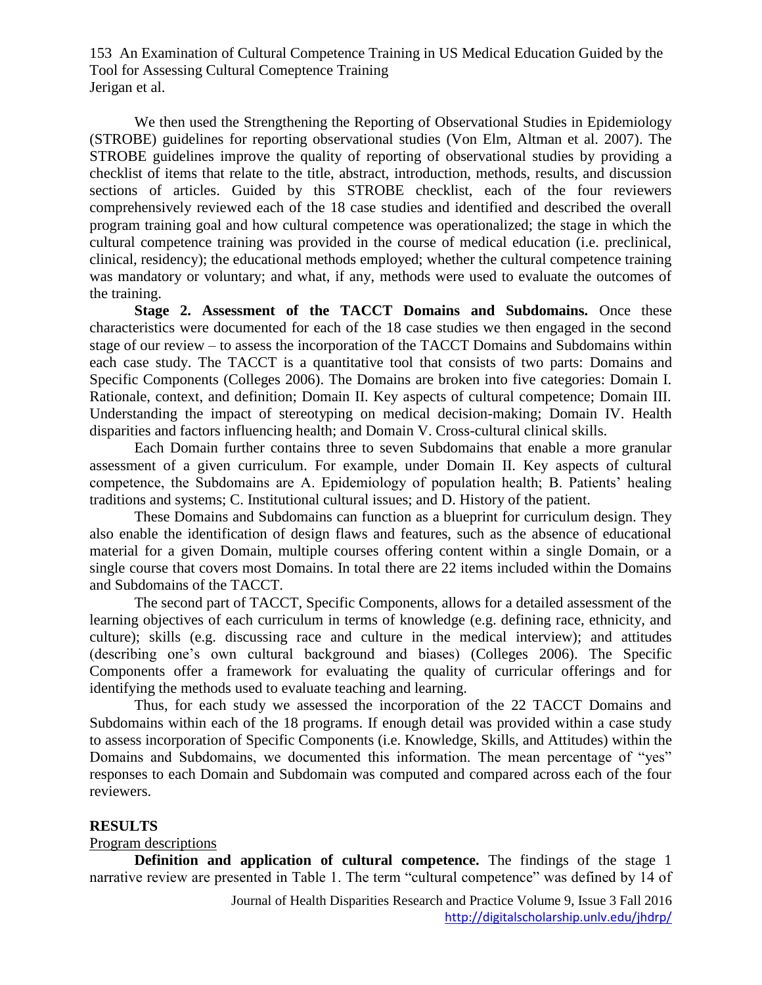We then used the Strengthening the Reporting of Observational Studies in Epidemiology (STROBE) guidelines for reporting observational studies (Von Elm, Altman et al. 2007). The STROBE guidelines improve the quality of reporting of observational studies by providing a checklist of items that relate to the title, abstract, introduction, methods, results, and discussion sections of articles. Guided by this STROBE checklist, each of the four reviewers comprehensively reviewed each of the 18 case studies and identified and described the overall program training goal and how cultural competence was operationalized; the stage in which the cultural competence training was provided in the course of medical education (i.e. preclinical, clinical, residency); the educational methods employed; whether the cultural competence training was mandatory or voluntary; and what, if any, methods were used to evaluate the outcomes of the training.

**Stage 2. Assessment of the TACCT Domains and Subdomains***.* Once these characteristics were documented for each of the 18 case studies we then engaged in the second stage of our review – to assess the incorporation of the TACCT Domains and Subdomains within each case study. The TACCT is a quantitative tool that consists of two parts: Domains and Specific Components (Colleges 2006). The Domains are broken into five categories: Domain I. Rationale, context, and definition; Domain II. Key aspects of cultural competence; Domain III. Understanding the impact of stereotyping on medical decision-making; Domain IV. Health disparities and factors influencing health; and Domain V. Cross-cultural clinical skills.

Each Domain further contains three to seven Subdomains that enable a more granular assessment of a given curriculum. For example, under Domain II. Key aspects of cultural competence, the Subdomains are A. Epidemiology of population health; B. Patients' healing traditions and systems; C. Institutional cultural issues; and D. History of the patient.

These Domains and Subdomains can function as a blueprint for curriculum design. They also enable the identification of design flaws and features, such as the absence of educational material for a given Domain, multiple courses offering content within a single Domain, or a single course that covers most Domains. In total there are 22 items included within the Domains and Subdomains of the TACCT.

The second part of TACCT, Specific Components, allows for a detailed assessment of the learning objectives of each curriculum in terms of knowledge (e.g. defining race, ethnicity, and culture); skills (e.g. discussing race and culture in the medical interview); and attitudes (describing one's own cultural background and biases) (Colleges 2006). The Specific Components offer a framework for evaluating the quality of curricular offerings and for identifying the methods used to evaluate teaching and learning.

Thus, for each study we assessed the incorporation of the 22 TACCT Domains and Subdomains within each of the 18 programs. If enough detail was provided within a case study to assess incorporation of Specific Components (i.e. Knowledge, Skills, and Attitudes) within the Domains and Subdomains, we documented this information. The mean percentage of "yes" responses to each Domain and Subdomain was computed and compared across each of the four reviewers.

#### **RESULTS**

#### Program descriptions

**Definition and application of cultural competence.** The findings of the stage 1 narrative review are presented in Table 1. The term "cultural competence" was defined by 14 of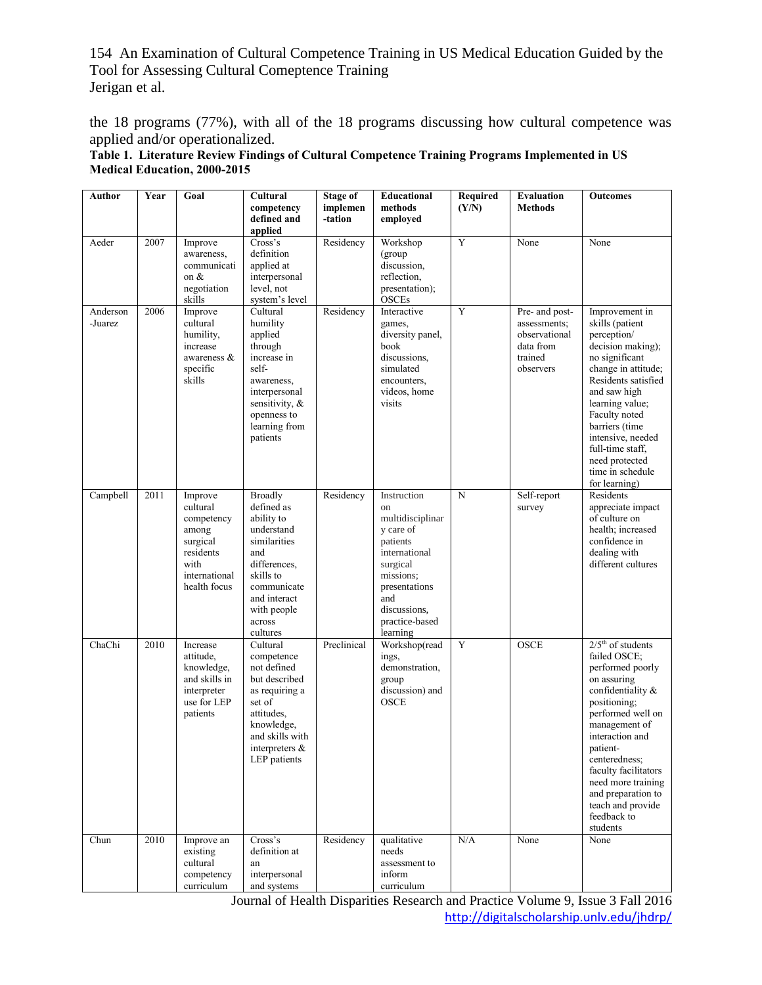the 18 programs (77%), with all of the 18 programs discussing how cultural competence was applied and/or operationalized.

Table 1. Literature Review Findings of Cultural Competence Training Programs Implemented in US Medical Education, 2000-2015

| Author              | Year | Goal                                                                                                         | Cultural<br>competency                                                                                                                                                           | <b>Stage of</b><br>implemen | Educational<br>methods                                                                                                                                                         | Required<br>(Y/N) | <b>Evaluation</b><br><b>Methods</b>                                                  | <b>Outcomes</b>                                                                                                                                                                                                                                                                                                                   |
|---------------------|------|--------------------------------------------------------------------------------------------------------------|----------------------------------------------------------------------------------------------------------------------------------------------------------------------------------|-----------------------------|--------------------------------------------------------------------------------------------------------------------------------------------------------------------------------|-------------------|--------------------------------------------------------------------------------------|-----------------------------------------------------------------------------------------------------------------------------------------------------------------------------------------------------------------------------------------------------------------------------------------------------------------------------------|
|                     |      |                                                                                                              | defined and<br>applied                                                                                                                                                           | -tation                     | employed                                                                                                                                                                       |                   |                                                                                      |                                                                                                                                                                                                                                                                                                                                   |
| Aeder               | 2007 | Improve<br>awareness,<br>communicati<br>on &<br>negotiation<br>skills                                        | Cross's<br>definition<br>applied at<br>interpersonal<br>level, not<br>system's level                                                                                             | Residency                   | Workshop<br>(group<br>discussion,<br>reflection,<br>presentation);<br><b>OSCEs</b>                                                                                             | Y                 | None                                                                                 | None                                                                                                                                                                                                                                                                                                                              |
| Anderson<br>-Juarez | 2006 | Improve<br>cultural<br>humility,<br>increase<br>awareness &<br>specific<br>skills                            | Cultural<br>humility<br>applied<br>through<br>increase in<br>self-<br>awareness,<br>interpersonal<br>sensitivity, &<br>openness to<br>learning from<br>patients                  | Residency                   | Interactive<br>games,<br>diversity panel,<br>book<br>discussions,<br>simulated<br>encounters,<br>videos, home<br>visits                                                        | Y                 | Pre- and post-<br>assessments;<br>observational<br>data from<br>trained<br>observers | Improvement in<br>skills (patient<br>perception/<br>decision making);<br>no significant<br>change in attitude;<br>Residents satisfied<br>and saw high<br>learning value;<br>Faculty noted<br>barriers (time<br>intensive, needed<br>full-time staff,<br>need protected<br>time in schedule<br>for learning)                       |
| Campbell            | 2011 | Improve<br>cultural<br>competency<br>among<br>surgical<br>residents<br>with<br>international<br>health focus | <b>Broadly</b><br>defined as<br>ability to<br>understand<br>similarities<br>and<br>differences,<br>skills to<br>communicate<br>and interact<br>with people<br>across<br>cultures | Residency                   | Instruction<br>on<br>multidisciplinar<br>y care of<br>patients<br>international<br>surgical<br>missions;<br>presentations<br>and<br>discussions,<br>practice-based<br>learning | ${\bf N}$         | Self-report<br>survey                                                                | Residents<br>appreciate impact<br>of culture on<br>health: increased<br>confidence in<br>dealing with<br>different cultures                                                                                                                                                                                                       |
| ChaChi              | 2010 | Increase<br>attitude.<br>knowledge,<br>and skills in<br>interpreter<br>use for LEP<br>patients               | Cultural<br>competence<br>not defined<br>but described<br>as requiring a<br>set of<br>attitudes,<br>knowledge,<br>and skills with<br>interpreters $\&$<br>LEP patients           | Preclinical                 | Workshop(read<br>ings,<br>demonstration,<br>group<br>discussion) and<br><b>OSCE</b>                                                                                            | Y                 | <b>OSCE</b>                                                                          | $2/5$ <sup>th</sup> of students<br>failed OSCE;<br>performed poorly<br>on assuring<br>confidentiality &<br>positioning;<br>performed well on<br>management of<br>interaction and<br>patient-<br>centeredness;<br>faculty facilitators<br>need more training<br>and preparation to<br>teach and provide<br>feedback to<br>students |
| Chun                | 2010 | Improve an<br>existing<br>cultural<br>competency<br>curriculum                                               | Cross's<br>definition at<br>an<br>interpersonal<br>and systems                                                                                                                   | Residency                   | qualitative<br>needs<br>assessment to<br>inform<br>curriculum                                                                                                                  | N/A               | None                                                                                 | None                                                                                                                                                                                                                                                                                                                              |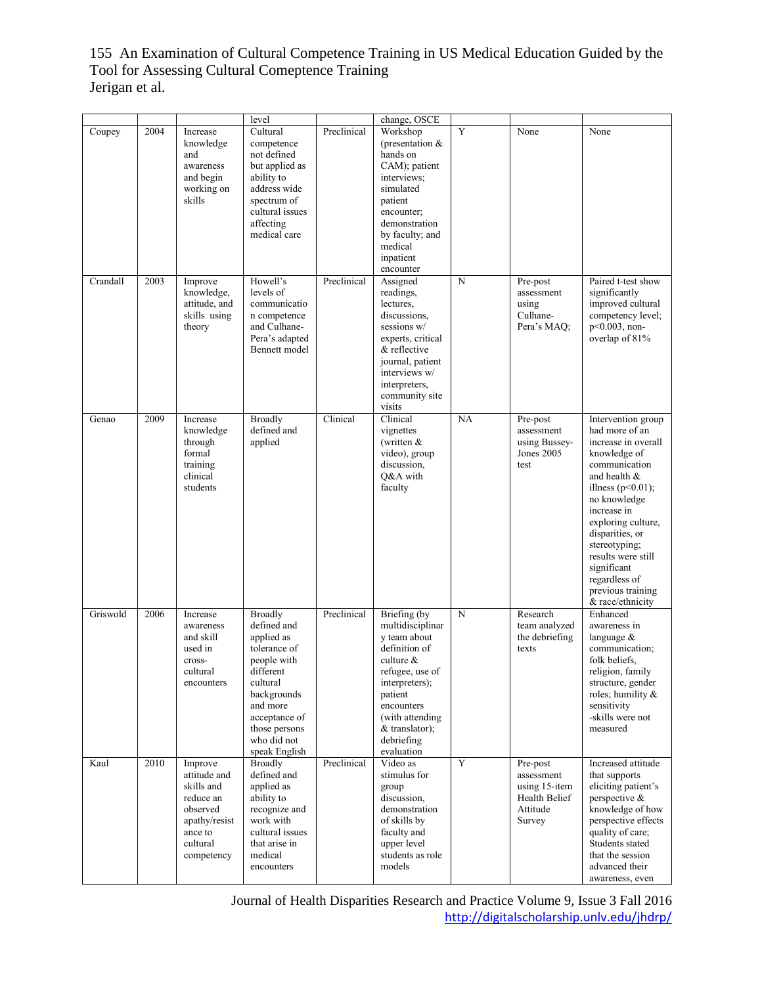|          |      |                                                                                                                      | level                                                                                                                                                                                            |             | change, OSCE                                                                                                                                                                                                       |                 |                                                                                |                                                                                                                                                                                                                                                                                                                               |
|----------|------|----------------------------------------------------------------------------------------------------------------------|--------------------------------------------------------------------------------------------------------------------------------------------------------------------------------------------------|-------------|--------------------------------------------------------------------------------------------------------------------------------------------------------------------------------------------------------------------|-----------------|--------------------------------------------------------------------------------|-------------------------------------------------------------------------------------------------------------------------------------------------------------------------------------------------------------------------------------------------------------------------------------------------------------------------------|
| Coupey   | 2004 | Increase<br>knowledge<br>and<br>awareness<br>and begin<br>working on<br>skills                                       | Cultural<br>competence<br>not defined<br>but applied as<br>ability to<br>address wide<br>spectrum of<br>cultural issues<br>affecting<br>medical care                                             | Preclinical | Workshop<br>(presentation &<br>hands on<br>CAM); patient<br>interviews;<br>simulated<br>patient<br>encounter;<br>demonstration<br>by faculty; and<br>medical<br>inpatient<br>encounter                             | $\overline{Y}$  | None                                                                           | None                                                                                                                                                                                                                                                                                                                          |
| Crandall | 2003 | Improve<br>knowledge,<br>attitude, and<br>skills using<br>theory                                                     | Howell's<br>levels of<br>communicatio<br>n competence<br>and Culhane-<br>Pera's adapted<br>Bennett model                                                                                         | Preclinical | Assigned<br>readings,<br>lectures,<br>discussions,<br>sessions w/<br>experts, critical<br>& reflective<br>journal, patient<br>interviews w/<br>interpreters,<br>community site<br>visits                           | N               | Pre-post<br>assessment<br>using<br>Culhane-<br>Pera's MAQ;                     | Paired t-test show<br>significantly<br>improved cultural<br>competency level;<br>$p<0.003$ , non-<br>overlap of 81%                                                                                                                                                                                                           |
| Genao    | 2009 | Increase<br>knowledge<br>through<br>formal<br>training<br>clinical<br>students                                       | <b>Broadly</b><br>defined and<br>applied                                                                                                                                                         | Clinical    | Clinical<br>vignettes<br>(written $&$<br>video), group<br>discussion.<br>Q&A with<br>faculty                                                                                                                       | $\overline{NA}$ | Pre-post<br>assessment<br>using Bussey-<br><b>Jones 2005</b><br>test           | Intervention group<br>had more of an<br>increase in overall<br>knowledge of<br>communication<br>and health &<br>illness ( $p<0.01$ );<br>no knowledge<br>increase in<br>exploring culture,<br>disparities, or<br>stereotyping;<br>results were still<br>significant<br>regardless of<br>previous training<br>& race/ethnicity |
| Griswold | 2006 | Increase<br>awareness<br>and skill<br>used in<br>cross-<br>cultural<br>encounters                                    | <b>Broadly</b><br>defined and<br>applied as<br>tolerance of<br>people with<br>different<br>cultural<br>backgrounds<br>and more<br>acceptance of<br>those persons<br>who did not<br>speak English | Preclinical | Briefing (by<br>multidisciplinar<br>y team about<br>definition of<br>culture $\&$<br>refugee, use of<br>interpreters);<br>patient<br>encounters<br>(with attending<br>$&$ translator);<br>debriefing<br>evaluation | N               | Research<br>team analyzed<br>the debriefing<br>texts                           | Enhanced<br>awareness in<br>language $&$<br>communication:<br>folk beliefs.<br>religion, family<br>structure, gender<br>roles; humility &<br>sensitivity<br>-skills were not<br>measured                                                                                                                                      |
| Kaul     | 2010 | Improve<br>attitude and<br>skills and<br>reduce an<br>observed<br>apathy/resist<br>ance to<br>cultural<br>competency | <b>Broadly</b><br>defined and<br>applied as<br>ability to<br>recognize and<br>work with<br>cultural issues<br>that arise in<br>medical<br>encounters                                             | Preclinical | Video as<br>stimulus for<br>group<br>discussion,<br>demonstration<br>of skills by<br>faculty and<br>upper level<br>students as role<br>models                                                                      | Y               | Pre-post<br>assessment<br>using 15-item<br>Health Belief<br>Attitude<br>Survey | Increased attitude<br>that supports<br>eliciting patient's<br>perspective &<br>knowledge of how<br>perspective effects<br>quality of care;<br>Students stated<br>that the session<br>advanced their<br>awareness, even                                                                                                        |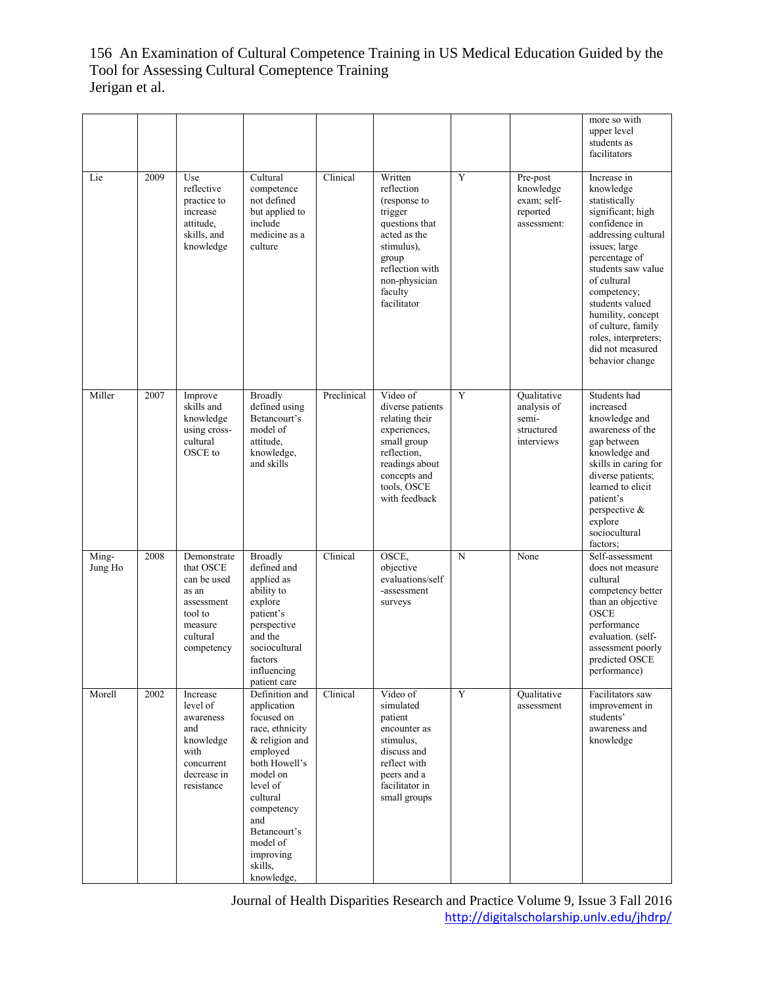|                  |      |                                                                                                                |                                                                                                                                                                                                                                          |             |                                                                                                                                                                         |                |                                                                 | more so with<br>upper level<br>students as<br>facilitators                                                                                                                                                                                                                                                                |
|------------------|------|----------------------------------------------------------------------------------------------------------------|------------------------------------------------------------------------------------------------------------------------------------------------------------------------------------------------------------------------------------------|-------------|-------------------------------------------------------------------------------------------------------------------------------------------------------------------------|----------------|-----------------------------------------------------------------|---------------------------------------------------------------------------------------------------------------------------------------------------------------------------------------------------------------------------------------------------------------------------------------------------------------------------|
| Lie              | 2009 | Use<br>reflective<br>practice to<br>increase<br>attitude.<br>skills, and<br>knowledge                          | Cultural<br>competence<br>not defined<br>but applied to<br>include<br>medicine as a<br>culture                                                                                                                                           | Clinical    | Written<br>reflection<br>(response to<br>trigger<br>questions that<br>acted as the<br>stimulus),<br>group<br>reflection with<br>non-physician<br>faculty<br>facilitator | Y              | Pre-post<br>knowledge<br>exam; self-<br>reported<br>assessment: | Increase in<br>knowledge<br>statistically<br>significant; high<br>confidence in<br>addressing cultural<br>issues; large<br>percentage of<br>students saw value<br>of cultural<br>competency;<br>students valued<br>humility, concept<br>of culture, family<br>roles, interpreters;<br>did not measured<br>behavior change |
| Miller           | 2007 | Improve<br>skills and<br>knowledge<br>using cross-<br>cultural<br>OSCE to                                      | <b>Broadly</b><br>defined using<br>Betancourt's<br>model of<br>attitude,<br>knowledge,<br>and skills                                                                                                                                     | Preclinical | Video of<br>diverse patients<br>relating their<br>experiences,<br>small group<br>reflection.<br>readings about<br>concepts and<br>tools, OSCE<br>with feedback          | $\overline{Y}$ | Oualitative<br>analysis of<br>semi-<br>structured<br>interviews | Students had<br>increased<br>knowledge and<br>awareness of the<br>gap between<br>knowledge and<br>skills in caring for<br>diverse patients;<br>learned to elicit<br>patient's<br>perspective &<br>explore<br>sociocultural<br>factors;                                                                                    |
| Ming-<br>Jung Ho | 2008 | Demonstrate<br>that OSCE<br>can be used<br>as an<br>assessment<br>tool to<br>measure<br>cultural<br>competency | <b>Broadly</b><br>defined and<br>applied as<br>ability to<br>explore<br>patient's<br>perspective<br>and the<br>sociocultural<br>factors<br>influencing<br>patient care                                                                   | Clinical    | OSCE,<br>objective<br>evaluations/self<br>-assessment<br>surveys                                                                                                        | $\mathbf N$    | None                                                            | Self-assessment<br>does not measure<br>cultural<br>competency better<br>than an objective<br><b>OSCE</b><br>performance<br>evaluation. (self-<br>assessment poorly<br>predicted OSCE<br>performance)                                                                                                                      |
| Morell           | 2002 | Increase<br>level of<br>awareness<br>and<br>knowledge<br>with<br>concurrent<br>decrease in<br>resistance       | Definition and<br>application<br>focused on<br>race, ethnicity<br>& religion and<br>employed<br>both Howell's<br>model on<br>level of<br>cultural<br>competency<br>and<br>Betancourt's<br>model of<br>improving<br>skills,<br>knowledge, | Clinical    | Video of<br>simulated<br>patient<br>encounter as<br>stimulus,<br>discuss and<br>reflect with<br>peers and a<br>facilitator in<br>small groups                           | Y              | Qualitative<br>assessment                                       | Facilitators saw<br>improvement in<br>students'<br>awareness and<br>knowledge                                                                                                                                                                                                                                             |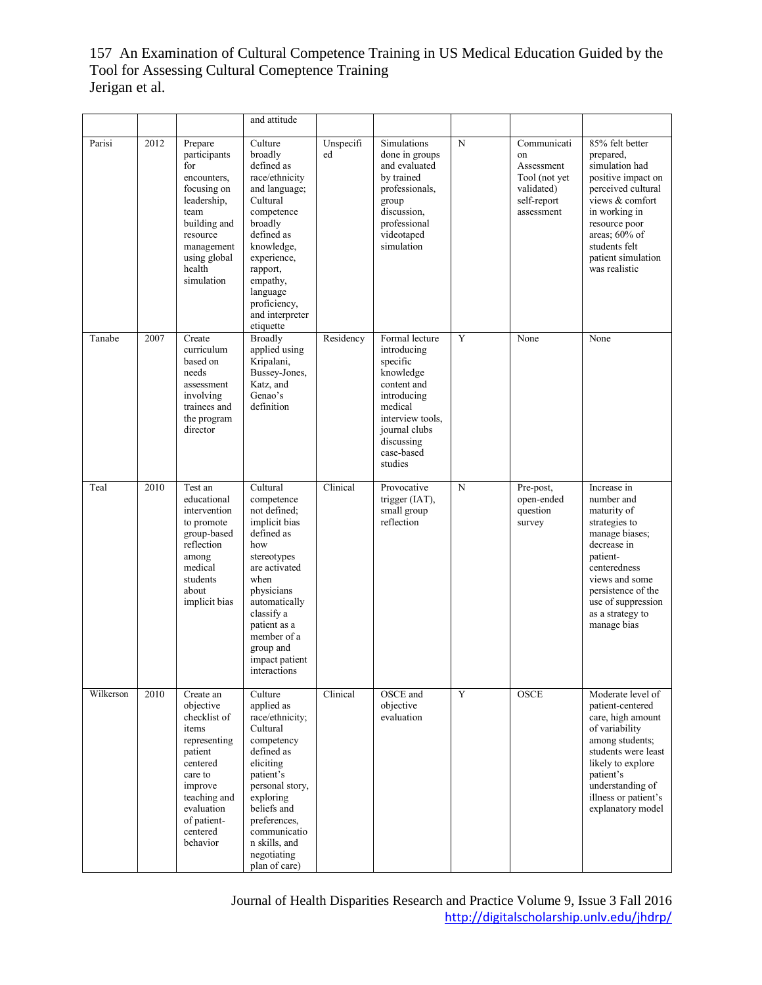|           |      |                                                                                                                                                                                   | and attitude                                                                                                                                                                                                                                    |                 |                                                                                                                                                                             |   |                                                                                             |                                                                                                                                                                                                                           |
|-----------|------|-----------------------------------------------------------------------------------------------------------------------------------------------------------------------------------|-------------------------------------------------------------------------------------------------------------------------------------------------------------------------------------------------------------------------------------------------|-----------------|-----------------------------------------------------------------------------------------------------------------------------------------------------------------------------|---|---------------------------------------------------------------------------------------------|---------------------------------------------------------------------------------------------------------------------------------------------------------------------------------------------------------------------------|
| Parisi    | 2012 | Prepare<br>participants<br>for<br>encounters.<br>focusing on<br>leadership,<br>team<br>building and<br>resource<br>management<br>using global<br>health<br>simulation             | Culture<br>broadly<br>defined as<br>race/ethnicity<br>and language;<br>Cultural<br>competence<br>broadly<br>defined as<br>knowledge,<br>experience,<br>rapport,<br>empathy,<br>language<br>proficiency,<br>and interpreter<br>etiquette         | Unspecifi<br>ed | Simulations<br>done in groups<br>and evaluated<br>by trained<br>professionals,<br>group<br>discussion,<br>professional<br>videotaped<br>simulation                          | N | Communicati<br>on<br>Assessment<br>Tool (not yet<br>validated)<br>self-report<br>assessment | 85% felt better<br>prepared,<br>simulation had<br>positive impact on<br>perceived cultural<br>views & comfort<br>in working in<br>resource poor<br>areas; 60% of<br>students felt<br>patient simulation<br>was realistic  |
| Tanabe    | 2007 | Create<br>curriculum<br>based on<br>needs<br>assessment<br>involving<br>trainees and<br>the program<br>director                                                                   | <b>Broadly</b><br>applied using<br>Kripalani,<br>Bussey-Jones,<br>Katz, and<br>Genao's<br>definition                                                                                                                                            | Residency       | Formal lecture<br>introducing<br>specific<br>knowledge<br>content and<br>introducing<br>medical<br>interview tools.<br>journal clubs<br>discussing<br>case-based<br>studies | Y | None                                                                                        | None                                                                                                                                                                                                                      |
| Teal      | 2010 | Test an<br>educational<br>intervention<br>to promote<br>group-based<br>reflection<br>among<br>medical<br>students<br>about<br>implicit bias                                       | Cultural<br>competence<br>not defined;<br>implicit bias<br>defined as<br>how<br>stereotypes<br>are activated<br>when<br>physicians<br>automatically<br>classify a<br>patient as a<br>member of a<br>group and<br>impact patient<br>interactions | Clinical        | Provocative<br>trigger (IAT),<br>small group<br>reflection                                                                                                                  | N | Pre-post,<br>open-ended<br>question<br>survey                                               | Increase in<br>number and<br>maturity of<br>strategies to<br>manage biases;<br>decrease in<br>patient-<br>centeredness<br>views and some<br>persistence of the<br>use of suppression<br>as a strategy to<br>manage bias   |
| Wilkerson | 2010 | Create an<br>objective<br>checklist of<br>items<br>representing<br>patient<br>centered<br>care to<br>improve<br>teaching and<br>evaluation<br>of patient-<br>centered<br>behavior | Culture<br>applied as<br>race/ethnicity;<br>Cultural<br>competency<br>defined as<br>eliciting<br>patient's<br>personal story,<br>exploring<br>beliefs and<br>preferences,<br>communicatio<br>n skills, and<br>negotiating<br>plan of care)      | Clinical        | OSCE and<br>objective<br>evaluation                                                                                                                                         | Y | <b>OSCE</b>                                                                                 | Moderate level of<br>patient-centered<br>care, high amount<br>of variability<br>among students;<br>students were least<br>likely to explore<br>patient's<br>understanding of<br>illness or patient's<br>explanatory model |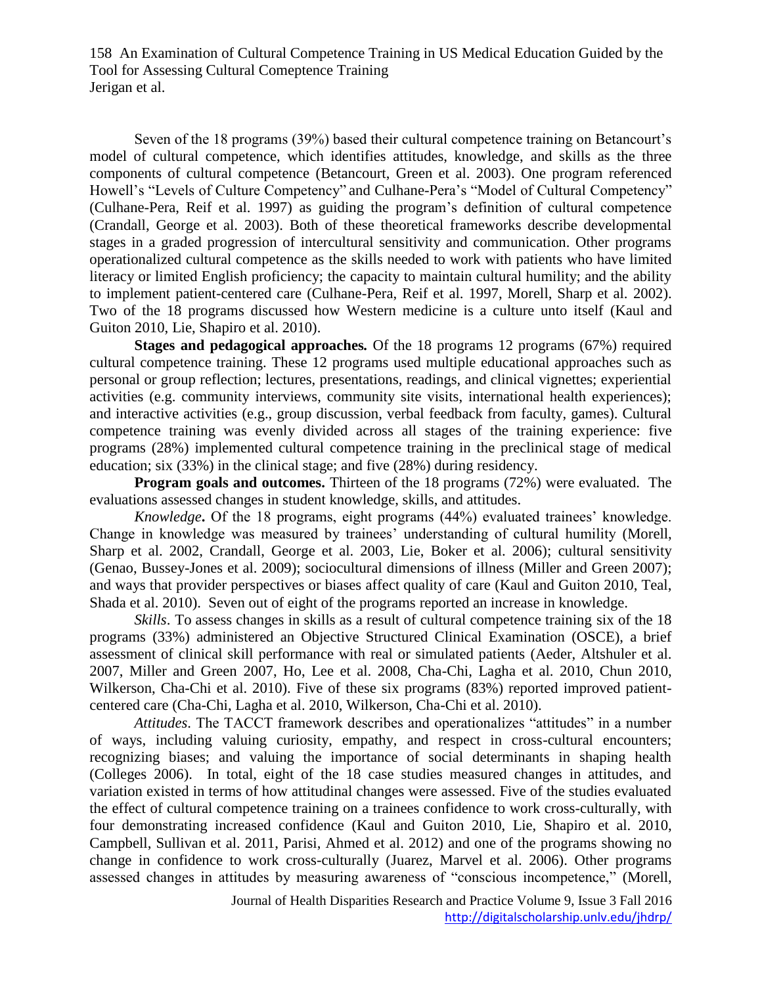Seven of the 18 programs (39%) based their cultural competence training on Betancourt's model of cultural competence, which identifies attitudes, knowledge, and skills as the three components of cultural competence (Betancourt, Green et al. 2003). One program referenced Howell's "Levels of Culture Competency" and Culhane-Pera's "Model of Cultural Competency" (Culhane-Pera, Reif et al. 1997) as guiding the program's definition of cultural competence (Crandall, George et al. 2003). Both of these theoretical frameworks describe developmental stages in a graded progression of intercultural sensitivity and communication. Other programs operationalized cultural competence as the skills needed to work with patients who have limited literacy or limited English proficiency; the capacity to maintain cultural humility; and the ability to implement patient-centered care (Culhane-Pera, Reif et al. 1997, Morell, Sharp et al. 2002). Two of the 18 programs discussed how Western medicine is a culture unto itself (Kaul and Guiton 2010, Lie, Shapiro et al. 2010).

**Stages and pedagogical approaches***.* Of the 18 programs 12 programs (67%) required cultural competence training. These 12 programs used multiple educational approaches such as personal or group reflection; lectures, presentations, readings, and clinical vignettes; experiential activities (e.g. community interviews, community site visits, international health experiences); and interactive activities (e.g., group discussion, verbal feedback from faculty, games). Cultural competence training was evenly divided across all stages of the training experience: five programs (28%) implemented cultural competence training in the preclinical stage of medical education; six (33%) in the clinical stage; and five (28%) during residency.

**Program goals and outcomes.** Thirteen of the 18 programs (72%) were evaluated. The evaluations assessed changes in student knowledge, skills, and attitudes.

*Knowledge***.** Of the 18 programs, eight programs (44%) evaluated trainees' knowledge. Change in knowledge was measured by trainees' understanding of cultural humility (Morell, Sharp et al. 2002, Crandall, George et al. 2003, Lie, Boker et al. 2006); cultural sensitivity (Genao, Bussey-Jones et al. 2009); sociocultural dimensions of illness (Miller and Green 2007); and ways that provider perspectives or biases affect quality of care (Kaul and Guiton 2010, Teal, Shada et al. 2010). Seven out of eight of the programs reported an increase in knowledge.

*Skills*. To assess changes in skills as a result of cultural competence training six of the 18 programs (33%) administered an Objective Structured Clinical Examination (OSCE), a brief assessment of clinical skill performance with real or simulated patients (Aeder, Altshuler et al. 2007, Miller and Green 2007, Ho, Lee et al. 2008, Cha-Chi, Lagha et al. 2010, Chun 2010, Wilkerson, Cha-Chi et al. 2010). Five of these six programs (83%) reported improved patientcentered care (Cha-Chi, Lagha et al. 2010, Wilkerson, Cha-Chi et al. 2010).

*Attitudes*. The TACCT framework describes and operationalizes "attitudes" in a number of ways, including valuing curiosity, empathy, and respect in cross-cultural encounters; recognizing biases; and valuing the importance of social determinants in shaping health (Colleges 2006). In total, eight of the 18 case studies measured changes in attitudes, and variation existed in terms of how attitudinal changes were assessed. Five of the studies evaluated the effect of cultural competence training on a trainees confidence to work cross-culturally, with four demonstrating increased confidence (Kaul and Guiton 2010, Lie, Shapiro et al. 2010, Campbell, Sullivan et al. 2011, Parisi, Ahmed et al. 2012) and one of the programs showing no change in confidence to work cross-culturally (Juarez, Marvel et al. 2006). Other programs assessed changes in attitudes by measuring awareness of "conscious incompetence," (Morell,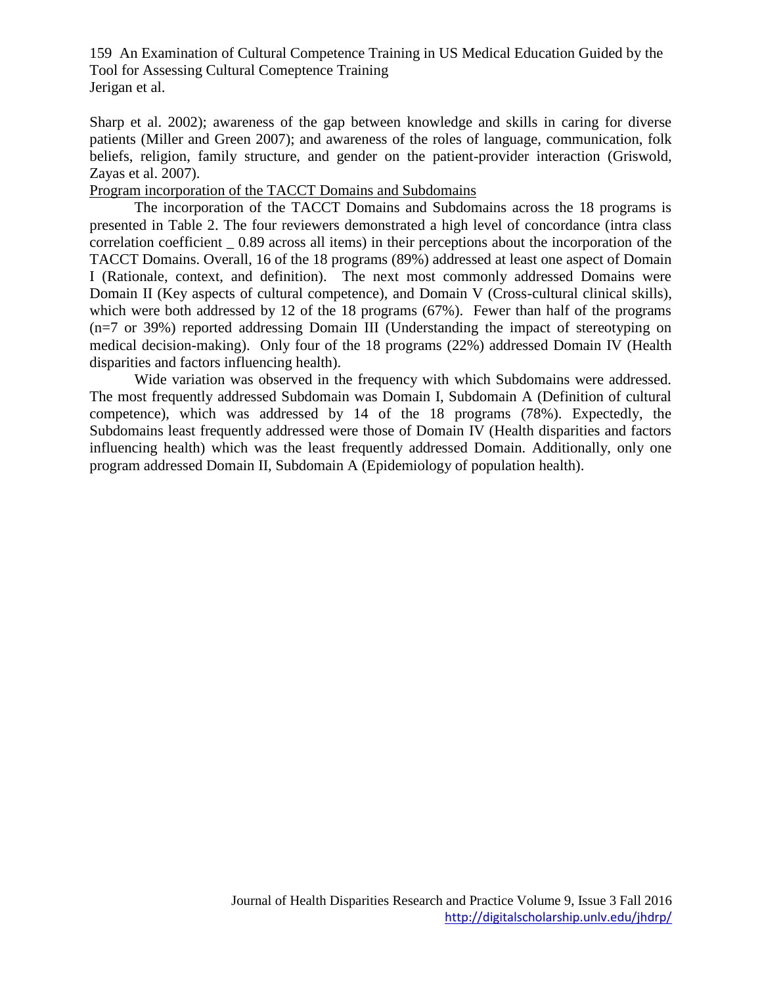Sharp et al. 2002); awareness of the gap between knowledge and skills in caring for diverse patients (Miller and Green 2007); and awareness of the roles of language, communication, folk beliefs, religion, family structure, and gender on the patient-provider interaction (Griswold, Zayas et al. 2007).

Program incorporation of the TACCT Domains and Subdomains

The incorporation of the TACCT Domains and Subdomains across the 18 programs is presented in Table 2. The four reviewers demonstrated a high level of concordance (intra class correlation coefficient 0.89 across all items) in their perceptions about the incorporation of the TACCT Domains. Overall, 16 of the 18 programs (89%) addressed at least one aspect of Domain I (Rationale, context, and definition). The next most commonly addressed Domains were Domain II (Key aspects of cultural competence), and Domain V (Cross-cultural clinical skills), which were both addressed by 12 of the 18 programs (67%). Fewer than half of the programs (n=7 or 39%) reported addressing Domain III (Understanding the impact of stereotyping on medical decision-making). Only four of the 18 programs (22%) addressed Domain IV (Health disparities and factors influencing health).

Wide variation was observed in the frequency with which Subdomains were addressed. The most frequently addressed Subdomain was Domain I, Subdomain A (Definition of cultural competence), which was addressed by 14 of the 18 programs (78%). Expectedly, the Subdomains least frequently addressed were those of Domain IV (Health disparities and factors influencing health) which was the least frequently addressed Domain. Additionally, only one program addressed Domain II, Subdomain A (Epidemiology of population health).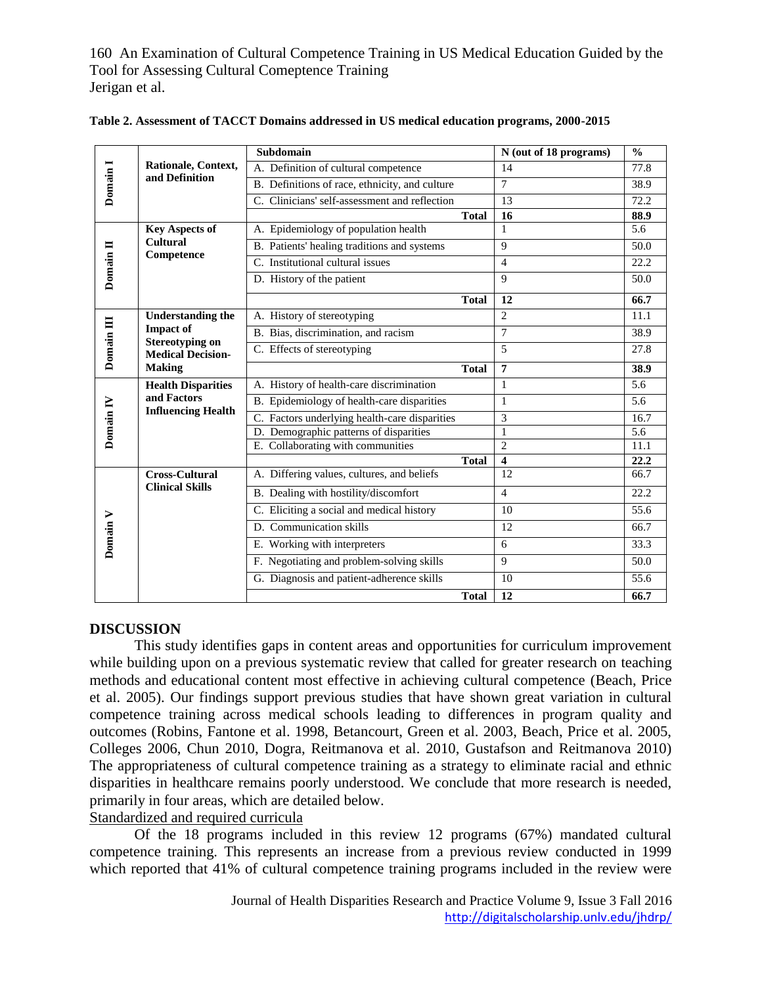|            |                                                    | Subdomain                                      | N (out of 18 programs)  | $\frac{0}{0}$ |
|------------|----------------------------------------------------|------------------------------------------------|-------------------------|---------------|
| Domain I   | Rationale, Context,                                | A. Definition of cultural competence           | 14                      | 77.8          |
|            | and Definition                                     | B. Definitions of race, ethnicity, and culture | $\overline{7}$          | 38.9          |
|            |                                                    | C. Clinicians' self-assessment and reflection  | 13                      | 72.2          |
|            |                                                    | <b>Total</b>                                   | 16                      | 88.9          |
|            | <b>Key Aspects of</b>                              | A. Epidemiology of population health           | $\mathbf{1}$            | 5.6           |
|            | <b>Cultural</b>                                    | B. Patients' healing traditions and systems    | $\mathbf Q$             | 50.0          |
|            | Competence                                         | C. Institutional cultural issues               | $\overline{4}$          | 22.2          |
| Domain II  |                                                    | D. History of the patient                      | $\overline{9}$          | 50.0          |
|            |                                                    | <b>Total</b>                                   | 12                      | 66.7          |
|            | <b>Understanding the</b>                           | A. History of stereotyping                     | $\overline{2}$          | 11.1          |
|            | <b>Impact of</b>                                   | B. Bias, discrimination, and racism            | $\overline{7}$          | 38.9          |
| Domain III | <b>Stereotyping on</b><br><b>Medical Decision-</b> | C. Effects of stereotyping                     | 5                       | 27.8          |
|            | <b>Making</b>                                      | <b>Total</b>                                   | $7\phantom{.0}$         | 38.9          |
| Domain IV  | <b>Health Disparities</b>                          | A. History of health-care discrimination       | 1                       | 5.6           |
|            | and Factors                                        | B. Epidemiology of health-care disparities     | $\mathbf{1}$            | 5.6           |
|            | <b>Influencing Health</b>                          | C. Factors underlying health-care disparities  | 3                       | 16.7          |
|            |                                                    | D. Demographic patterns of disparities         | $\mathbf{1}$            | 5.6           |
|            |                                                    | E. Collaborating with communities              | $\overline{2}$          | 11.1          |
|            |                                                    | <b>Total</b>                                   | $\overline{\mathbf{4}}$ | 22.2          |
|            | <b>Cross-Cultural</b>                              | A. Differing values, cultures, and beliefs     | 12                      | 66.7          |
| Domain V   | <b>Clinical Skills</b>                             | B. Dealing with hostility/discomfort           | $\overline{4}$          | 22.2          |
|            |                                                    | C. Eliciting a social and medical history      | 10                      | 55.6          |
|            |                                                    | D. Communication skills                        | 12                      | 66.7          |
|            |                                                    | E. Working with interpreters                   | 6                       | 33.3          |
|            |                                                    | F. Negotiating and problem-solving skills      | $\mathbf Q$             | 50.0          |
|            |                                                    | G. Diagnosis and patient-adherence skills      | 10                      | 55.6          |
|            |                                                    | <b>Total</b>                                   | 12                      | 66.7          |

| Table 2. Assessment of TACCT Domains addressed in US medical education programs, 2000-2015 |  |
|--------------------------------------------------------------------------------------------|--|
|--------------------------------------------------------------------------------------------|--|

#### **DISCUSSION**

This study identifies gaps in content areas and opportunities for curriculum improvement while building upon on a previous systematic review that called for greater research on teaching methods and educational content most effective in achieving cultural competence (Beach, Price et al. 2005). Our findings support previous studies that have shown great variation in cultural competence training across medical schools leading to differences in program quality and outcomes (Robins, Fantone et al. 1998, Betancourt, Green et al. 2003, Beach, Price et al. 2005, Colleges 2006, Chun 2010, Dogra, Reitmanova et al. 2010, Gustafson and Reitmanova 2010) The appropriateness of cultural competence training as a strategy to eliminate racial and ethnic disparities in healthcare remains poorly understood. We conclude that more research is needed, primarily in four areas, which are detailed below.

# Standardized and required curricula

Of the 18 programs included in this review 12 programs (67%) mandated cultural competence training. This represents an increase from a previous review conducted in 1999 which reported that 41% of cultural competence training programs included in the review were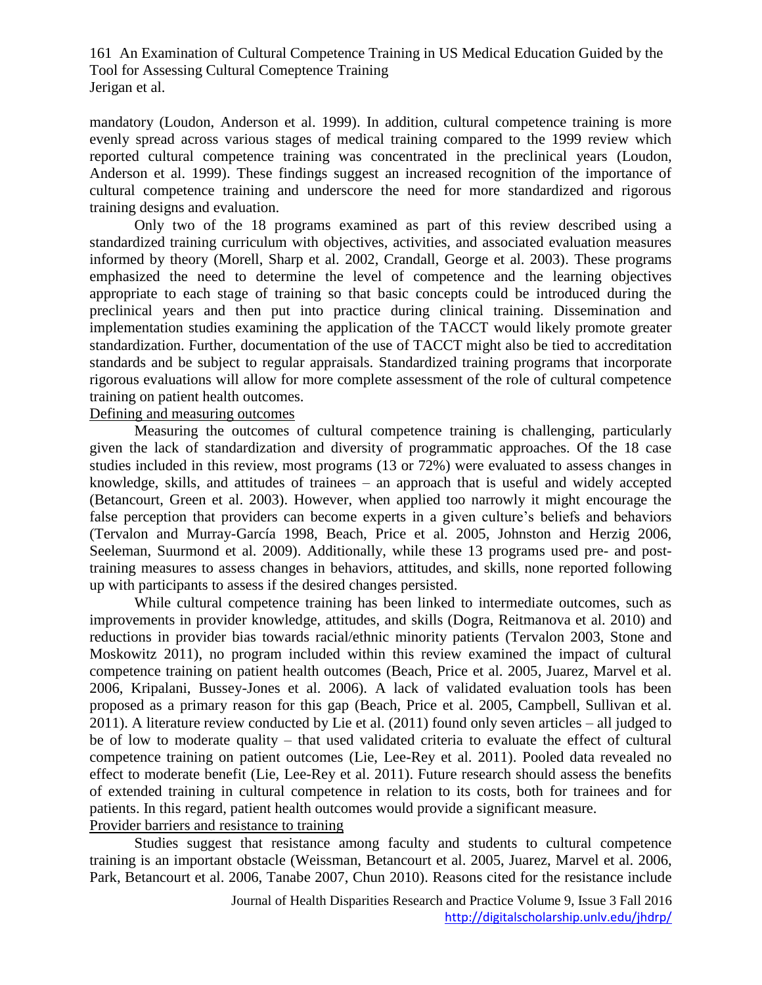mandatory (Loudon, Anderson et al. 1999). In addition, cultural competence training is more evenly spread across various stages of medical training compared to the 1999 review which reported cultural competence training was concentrated in the preclinical years (Loudon, Anderson et al. 1999). These findings suggest an increased recognition of the importance of cultural competence training and underscore the need for more standardized and rigorous training designs and evaluation.

Only two of the 18 programs examined as part of this review described using a standardized training curriculum with objectives, activities, and associated evaluation measures informed by theory (Morell, Sharp et al. 2002, Crandall, George et al. 2003). These programs emphasized the need to determine the level of competence and the learning objectives appropriate to each stage of training so that basic concepts could be introduced during the preclinical years and then put into practice during clinical training. Dissemination and implementation studies examining the application of the TACCT would likely promote greater standardization. Further, documentation of the use of TACCT might also be tied to accreditation standards and be subject to regular appraisals. Standardized training programs that incorporate rigorous evaluations will allow for more complete assessment of the role of cultural competence training on patient health outcomes.

#### Defining and measuring outcomes

Measuring the outcomes of cultural competence training is challenging, particularly given the lack of standardization and diversity of programmatic approaches. Of the 18 case studies included in this review, most programs (13 or 72%) were evaluated to assess changes in knowledge, skills, and attitudes of trainees – an approach that is useful and widely accepted (Betancourt, Green et al. 2003). However, when applied too narrowly it might encourage the false perception that providers can become experts in a given culture's beliefs and behaviors (Tervalon and Murray-García 1998, Beach, Price et al. 2005, Johnston and Herzig 2006, Seeleman, Suurmond et al. 2009). Additionally, while these 13 programs used pre- and posttraining measures to assess changes in behaviors, attitudes, and skills, none reported following up with participants to assess if the desired changes persisted.

While cultural competence training has been linked to intermediate outcomes, such as improvements in provider knowledge, attitudes, and skills (Dogra, Reitmanova et al. 2010) and reductions in provider bias towards racial/ethnic minority patients (Tervalon 2003, Stone and Moskowitz 2011), no program included within this review examined the impact of cultural competence training on patient health outcomes (Beach, Price et al. 2005, Juarez, Marvel et al. 2006, Kripalani, Bussey-Jones et al. 2006). A lack of validated evaluation tools has been proposed as a primary reason for this gap (Beach, Price et al. 2005, Campbell, Sullivan et al. 2011). A literature review conducted by Lie et al. (2011) found only seven articles – all judged to be of low to moderate quality – that used validated criteria to evaluate the effect of cultural competence training on patient outcomes (Lie, Lee-Rey et al. 2011). Pooled data revealed no effect to moderate benefit (Lie, Lee-Rey et al. 2011). Future research should assess the benefits of extended training in cultural competence in relation to its costs, both for trainees and for patients. In this regard, patient health outcomes would provide a significant measure.

Provider barriers and resistance to training

Studies suggest that resistance among faculty and students to cultural competence training is an important obstacle (Weissman, Betancourt et al. 2005, Juarez, Marvel et al. 2006, Park, Betancourt et al. 2006, Tanabe 2007, Chun 2010). Reasons cited for the resistance include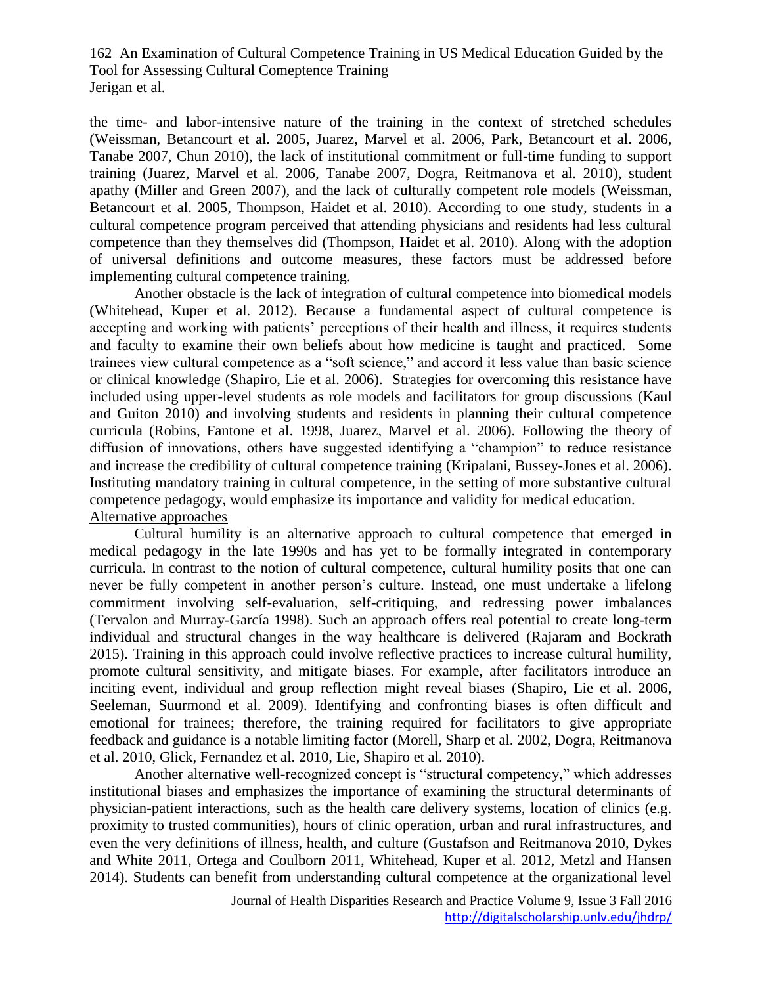the time- and labor-intensive nature of the training in the context of stretched schedules (Weissman, Betancourt et al. 2005, Juarez, Marvel et al. 2006, Park, Betancourt et al. 2006, Tanabe 2007, Chun 2010), the lack of institutional commitment or full-time funding to support training (Juarez, Marvel et al. 2006, Tanabe 2007, Dogra, Reitmanova et al. 2010), student apathy (Miller and Green 2007), and the lack of culturally competent role models (Weissman, Betancourt et al. 2005, Thompson, Haidet et al. 2010). According to one study, students in a cultural competence program perceived that attending physicians and residents had less cultural competence than they themselves did (Thompson, Haidet et al. 2010). Along with the adoption of universal definitions and outcome measures, these factors must be addressed before implementing cultural competence training.

Another obstacle is the lack of integration of cultural competence into biomedical models (Whitehead, Kuper et al. 2012). Because a fundamental aspect of cultural competence is accepting and working with patients' perceptions of their health and illness, it requires students and faculty to examine their own beliefs about how medicine is taught and practiced. Some trainees view cultural competence as a "soft science," and accord it less value than basic science or clinical knowledge (Shapiro, Lie et al. 2006). Strategies for overcoming this resistance have included using upper-level students as role models and facilitators for group discussions (Kaul and Guiton 2010) and involving students and residents in planning their cultural competence curricula (Robins, Fantone et al. 1998, Juarez, Marvel et al. 2006). Following the theory of diffusion of innovations, others have suggested identifying a "champion" to reduce resistance and increase the credibility of cultural competence training (Kripalani, Bussey-Jones et al. 2006). Instituting mandatory training in cultural competence, in the setting of more substantive cultural competence pedagogy, would emphasize its importance and validity for medical education. Alternative approaches

Cultural humility is an alternative approach to cultural competence that emerged in medical pedagogy in the late 1990s and has yet to be formally integrated in contemporary curricula. In contrast to the notion of cultural competence, cultural humility posits that one can never be fully competent in another person's culture. Instead, one must undertake a lifelong commitment involving self-evaluation, self-critiquing, and redressing power imbalances (Tervalon and Murray-García 1998). Such an approach offers real potential to create long-term individual and structural changes in the way healthcare is delivered (Rajaram and Bockrath 2015). Training in this approach could involve reflective practices to increase cultural humility, promote cultural sensitivity, and mitigate biases. For example, after facilitators introduce an inciting event, individual and group reflection might reveal biases (Shapiro, Lie et al. 2006, Seeleman, Suurmond et al. 2009). Identifying and confronting biases is often difficult and emotional for trainees; therefore, the training required for facilitators to give appropriate feedback and guidance is a notable limiting factor (Morell, Sharp et al. 2002, Dogra, Reitmanova et al. 2010, Glick, Fernandez et al. 2010, Lie, Shapiro et al. 2010).

Another alternative well-recognized concept is "structural competency," which addresses institutional biases and emphasizes the importance of examining the structural determinants of physician-patient interactions, such as the health care delivery systems, location of clinics (e.g. proximity to trusted communities), hours of clinic operation, urban and rural infrastructures, and even the very definitions of illness, health, and culture (Gustafson and Reitmanova 2010, Dykes and White 2011, Ortega and Coulborn 2011, Whitehead, Kuper et al. 2012, Metzl and Hansen 2014). Students can benefit from understanding cultural competence at the organizational level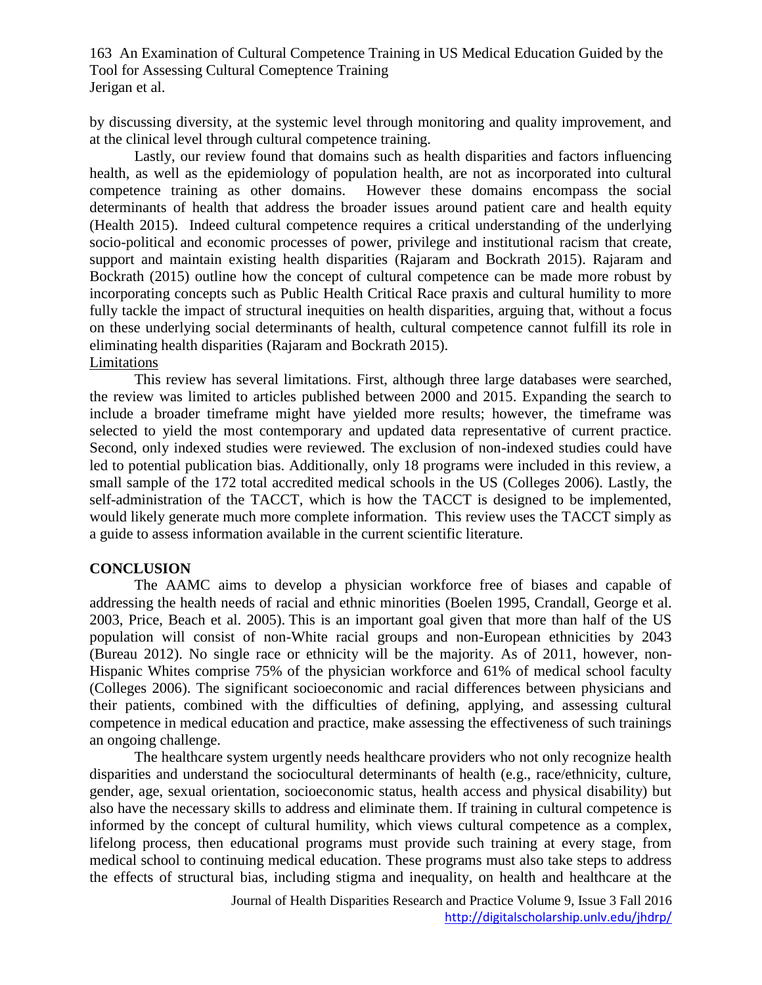by discussing diversity, at the systemic level through monitoring and quality improvement, and at the clinical level through cultural competence training.

Lastly, our review found that domains such as health disparities and factors influencing health, as well as the epidemiology of population health, are not as incorporated into cultural competence training as other domains. However these domains encompass the social determinants of health that address the broader issues around patient care and health equity (Health 2015). Indeed cultural competence requires a critical understanding of the underlying socio-political and economic processes of power, privilege and institutional racism that create, support and maintain existing health disparities (Rajaram and Bockrath 2015). Rajaram and Bockrath (2015) outline how the concept of cultural competence can be made more robust by incorporating concepts such as Public Health Critical Race praxis and cultural humility to more fully tackle the impact of structural inequities on health disparities, arguing that, without a focus on these underlying social determinants of health, cultural competence cannot fulfill its role in eliminating health disparities (Rajaram and Bockrath 2015). Limitations

This review has several limitations. First, although three large databases were searched, the review was limited to articles published between 2000 and 2015. Expanding the search to include a broader timeframe might have yielded more results; however, the timeframe was selected to yield the most contemporary and updated data representative of current practice. Second, only indexed studies were reviewed. The exclusion of non-indexed studies could have led to potential publication bias. Additionally, only 18 programs were included in this review, a small sample of the 172 total accredited medical schools in the US (Colleges 2006). Lastly, the self-administration of the TACCT, which is how the TACCT is designed to be implemented, would likely generate much more complete information. This review uses the TACCT simply as a guide to assess information available in the current scientific literature.

#### **CONCLUSION**

The AAMC aims to develop a physician workforce free of biases and capable of addressing the health needs of racial and ethnic minorities (Boelen 1995, Crandall, George et al. 2003, Price, Beach et al. 2005). This is an important goal given that more than half of the US population will consist of non-White racial groups and non-European ethnicities by 2043 (Bureau 2012). No single race or ethnicity will be the majority. As of 2011, however, non-Hispanic Whites comprise 75% of the physician workforce and 61% of medical school faculty (Colleges 2006). The significant socioeconomic and racial differences between physicians and their patients, combined with the difficulties of defining, applying, and assessing cultural competence in medical education and practice, make assessing the effectiveness of such trainings an ongoing challenge.

The healthcare system urgently needs healthcare providers who not only recognize health disparities and understand the sociocultural determinants of health (e.g., race/ethnicity, culture, gender, age, sexual orientation, socioeconomic status, health access and physical disability) but also have the necessary skills to address and eliminate them. If training in cultural competence is informed by the concept of cultural humility, which views cultural competence as a complex, lifelong process, then educational programs must provide such training at every stage, from medical school to continuing medical education. These programs must also take steps to address the effects of structural bias, including stigma and inequality, on health and healthcare at the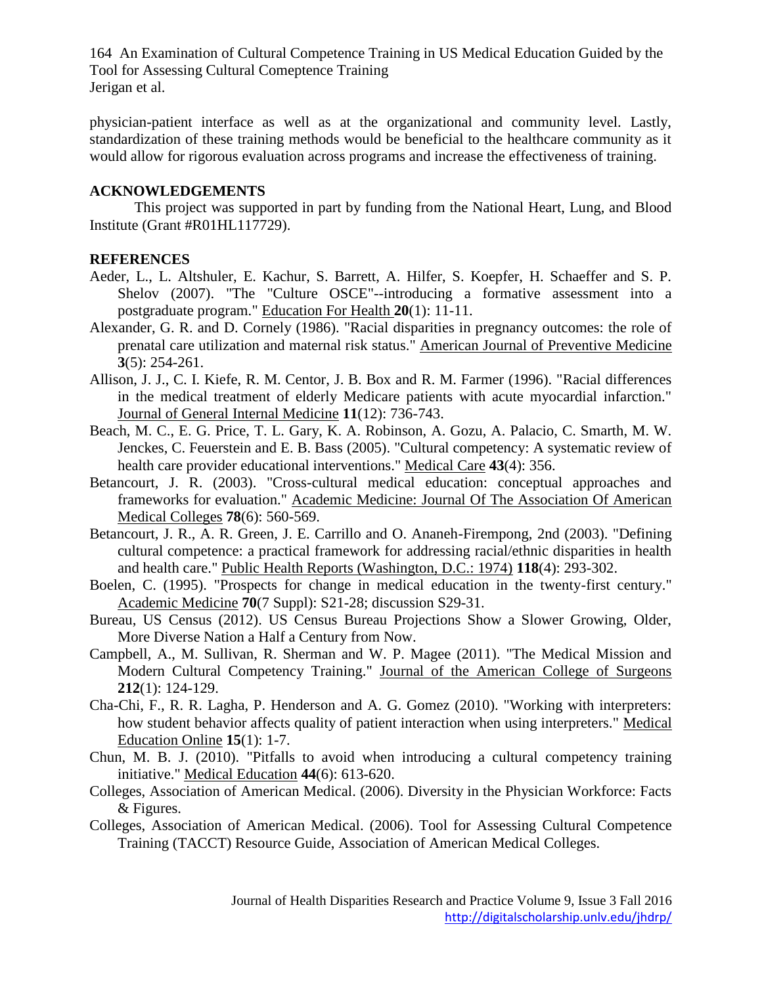physician-patient interface as well as at the organizational and community level. Lastly, standardization of these training methods would be beneficial to the healthcare community as it would allow for rigorous evaluation across programs and increase the effectiveness of training.

#### **ACKNOWLEDGEMENTS**

This project was supported in part by funding from the National Heart, Lung, and Blood Institute (Grant #R01HL117729).

### **REFERENCES**

- Aeder, L., L. Altshuler, E. Kachur, S. Barrett, A. Hilfer, S. Koepfer, H. Schaeffer and S. P. Shelov (2007). "The "Culture OSCE"--introducing a formative assessment into a postgraduate program." Education For Health **20**(1): 11-11.
- Alexander, G. R. and D. Cornely (1986). "Racial disparities in pregnancy outcomes: the role of prenatal care utilization and maternal risk status." American Journal of Preventive Medicine **3**(5): 254-261.
- Allison, J. J., C. I. Kiefe, R. M. Centor, J. B. Box and R. M. Farmer (1996). "Racial differences in the medical treatment of elderly Medicare patients with acute myocardial infarction." Journal of General Internal Medicine **11**(12): 736-743.
- Beach, M. C., E. G. Price, T. L. Gary, K. A. Robinson, A. Gozu, A. Palacio, C. Smarth, M. W. Jenckes, C. Feuerstein and E. B. Bass (2005). "Cultural competency: A systematic review of health care provider educational interventions." Medical Care **43**(4): 356.
- Betancourt, J. R. (2003). "Cross-cultural medical education: conceptual approaches and frameworks for evaluation." Academic Medicine: Journal Of The Association Of American Medical Colleges **78**(6): 560-569.
- Betancourt, J. R., A. R. Green, J. E. Carrillo and O. Ananeh-Firempong, 2nd (2003). "Defining cultural competence: a practical framework for addressing racial/ethnic disparities in health and health care." Public Health Reports (Washington, D.C.: 1974) **118**(4): 293-302.
- Boelen, C. (1995). "Prospects for change in medical education in the twenty-first century." Academic Medicine **70**(7 Suppl): S21-28; discussion S29-31.
- Bureau, US Census (2012). US Census Bureau Projections Show a Slower Growing, Older, More Diverse Nation a Half a Century from Now.
- Campbell, A., M. Sullivan, R. Sherman and W. P. Magee (2011). "The Medical Mission and Modern Cultural Competency Training." Journal of the American College of Surgeons **212**(1): 124-129.
- Cha-Chi, F., R. R. Lagha, P. Henderson and A. G. Gomez (2010). "Working with interpreters: how student behavior affects quality of patient interaction when using interpreters." Medical Education Online **15**(1): 1-7.
- Chun, M. B. J. (2010). "Pitfalls to avoid when introducing a cultural competency training initiative." Medical Education **44**(6): 613-620.
- Colleges, Association of American Medical. (2006). Diversity in the Physician Workforce: Facts & Figures.
- Colleges, Association of American Medical. (2006). Tool for Assessing Cultural Competence Training (TACCT) Resource Guide, Association of American Medical Colleges.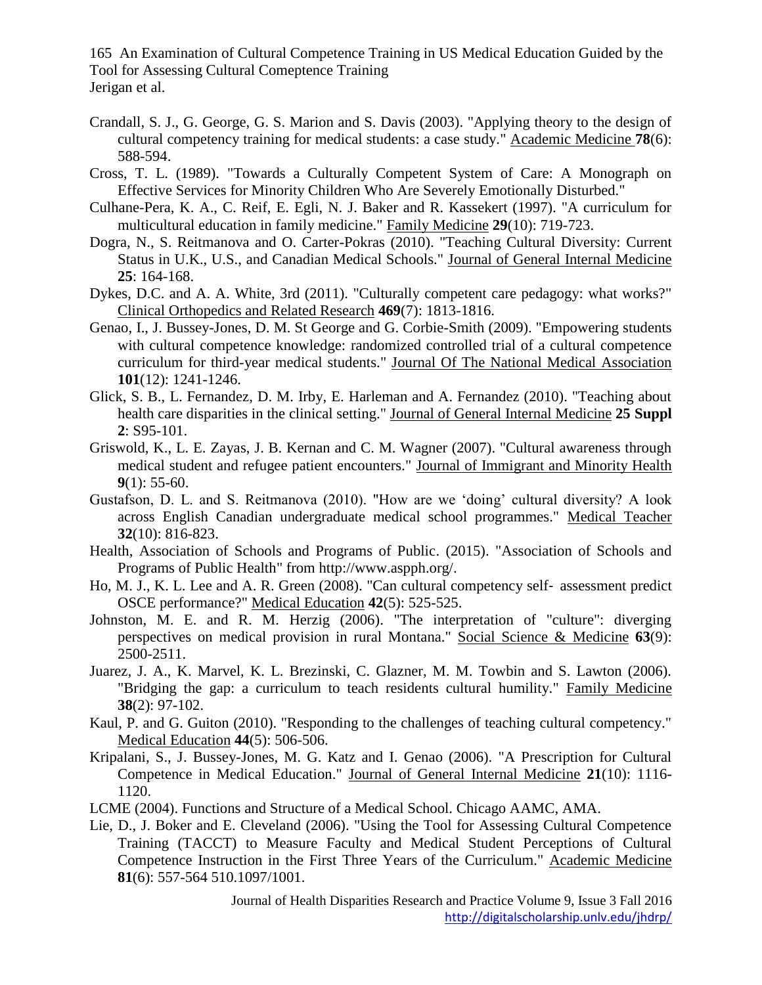- Crandall, S. J., G. George, G. S. Marion and S. Davis (2003). "Applying theory to the design of cultural competency training for medical students: a case study." Academic Medicine **78**(6): 588-594.
- Cross, T. L. (1989). "Towards a Culturally Competent System of Care: A Monograph on Effective Services for Minority Children Who Are Severely Emotionally Disturbed."
- Culhane-Pera, K. A., C. Reif, E. Egli, N. J. Baker and R. Kassekert (1997). "A curriculum for multicultural education in family medicine." Family Medicine **29**(10): 719-723.
- Dogra, N., S. Reitmanova and O. Carter-Pokras (2010). "Teaching Cultural Diversity: Current Status in U.K., U.S., and Canadian Medical Schools." Journal of General Internal Medicine **25**: 164-168.
- Dykes, D.C. and A. A. White, 3rd (2011). "Culturally competent care pedagogy: what works?" Clinical Orthopedics and Related Research **469**(7): 1813-1816.
- Genao, I., J. Bussey-Jones, D. M. St George and G. Corbie-Smith (2009). "Empowering students with cultural competence knowledge: randomized controlled trial of a cultural competence curriculum for third-year medical students." Journal Of The National Medical Association **101**(12): 1241-1246.
- Glick, S. B., L. Fernandez, D. M. Irby, E. Harleman and A. Fernandez (2010). "Teaching about health care disparities in the clinical setting." Journal of General Internal Medicine **25 Suppl 2**: S95-101.
- Griswold, K., L. E. Zayas, J. B. Kernan and C. M. Wagner (2007). "Cultural awareness through medical student and refugee patient encounters." Journal of Immigrant and Minority Health **9**(1): 55-60.
- Gustafson, D. L. and S. Reitmanova (2010). "How are we 'doing' cultural diversity? A look across English Canadian undergraduate medical school programmes." Medical Teacher **32**(10): 816-823.
- Health, Association of Schools and Programs of Public. (2015). "Association of Schools and Programs of Public Health" from http://www.aspph.org/.
- Ho, M. J., K. L. Lee and A. R. Green (2008). "Can cultural competency self‐ assessment predict OSCE performance?" Medical Education **42**(5): 525-525.
- Johnston, M. E. and R. M. Herzig (2006). "The interpretation of "culture": diverging perspectives on medical provision in rural Montana." Social Science & Medicine **63**(9): 2500-2511.
- Juarez, J. A., K. Marvel, K. L. Brezinski, C. Glazner, M. M. Towbin and S. Lawton (2006). "Bridging the gap: a curriculum to teach residents cultural humility." Family Medicine **38**(2): 97-102.
- Kaul, P. and G. Guiton (2010). "Responding to the challenges of teaching cultural competency." Medical Education **44**(5): 506-506.
- Kripalani, S., J. Bussey-Jones, M. G. Katz and I. Genao (2006). "A Prescription for Cultural Competence in Medical Education." Journal of General Internal Medicine **21**(10): 1116- 1120.
- LCME (2004). Functions and Structure of a Medical School. Chicago AAMC, AMA.
- Lie, D., J. Boker and E. Cleveland (2006). "Using the Tool for Assessing Cultural Competence Training (TACCT) to Measure Faculty and Medical Student Perceptions of Cultural Competence Instruction in the First Three Years of the Curriculum." Academic Medicine **81**(6): 557-564 510.1097/1001.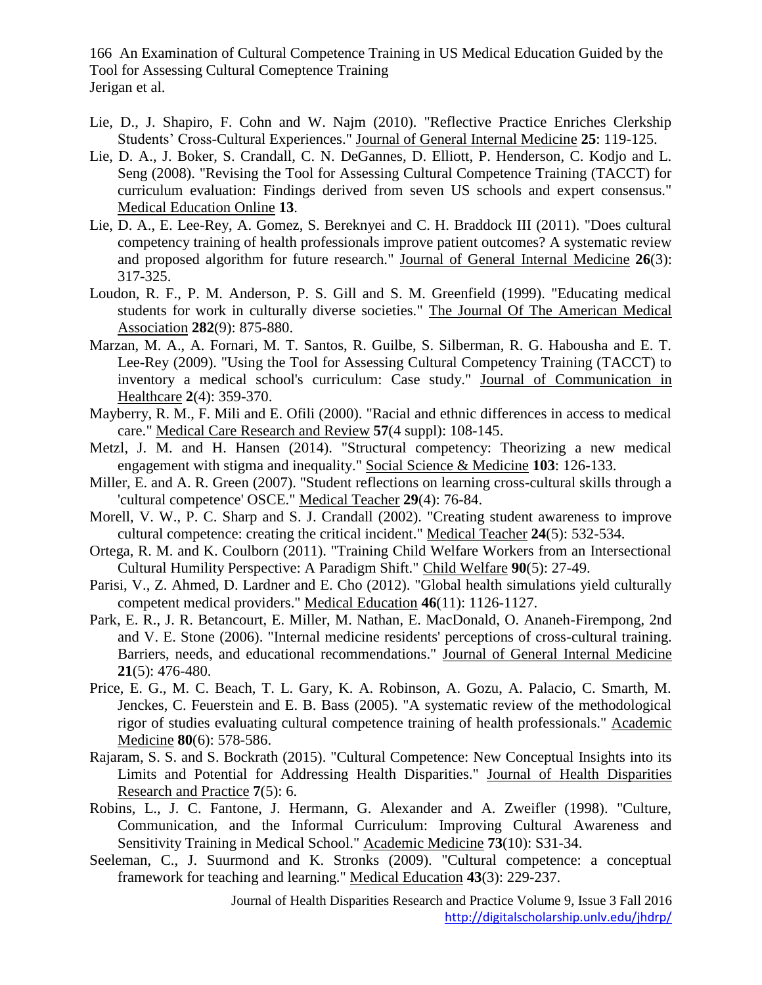- Lie, D., J. Shapiro, F. Cohn and W. Najm (2010). "Reflective Practice Enriches Clerkship Students' Cross-Cultural Experiences." Journal of General Internal Medicine **25**: 119-125.
- Lie, D. A., J. Boker, S. Crandall, C. N. DeGannes, D. Elliott, P. Henderson, C. Kodjo and L. Seng (2008). "Revising the Tool for Assessing Cultural Competence Training (TACCT) for curriculum evaluation: Findings derived from seven US schools and expert consensus." Medical Education Online **13**.
- Lie, D. A., E. Lee-Rey, A. Gomez, S. Bereknyei and C. H. Braddock III (2011). "Does cultural competency training of health professionals improve patient outcomes? A systematic review and proposed algorithm for future research." Journal of General Internal Medicine **26**(3): 317-325.
- Loudon, R. F., P. M. Anderson, P. S. Gill and S. M. Greenfield (1999). "Educating medical students for work in culturally diverse societies." The Journal Of The American Medical Association **282**(9): 875-880.
- Marzan, M. A., A. Fornari, M. T. Santos, R. Guilbe, S. Silberman, R. G. Habousha and E. T. Lee-Rey (2009). "Using the Tool for Assessing Cultural Competency Training (TACCT) to inventory a medical school's curriculum: Case study." Journal of Communication in Healthcare **2**(4): 359-370.
- Mayberry, R. M., F. Mili and E. Ofili (2000). "Racial and ethnic differences in access to medical care." Medical Care Research and Review **57**(4 suppl): 108-145.
- Metzl, J. M. and H. Hansen (2014). "Structural competency: Theorizing a new medical engagement with stigma and inequality." Social Science & Medicine **103**: 126-133.
- Miller, E. and A. R. Green (2007). "Student reflections on learning cross-cultural skills through a 'cultural competence' OSCE." Medical Teacher **29**(4): 76-84.
- Morell, V. W., P. C. Sharp and S. J. Crandall (2002). "Creating student awareness to improve cultural competence: creating the critical incident." Medical Teacher **24**(5): 532-534.
- Ortega, R. M. and K. Coulborn (2011). "Training Child Welfare Workers from an Intersectional Cultural Humility Perspective: A Paradigm Shift." Child Welfare **90**(5): 27-49.
- Parisi, V., Z. Ahmed, D. Lardner and E. Cho (2012). "Global health simulations yield culturally competent medical providers." Medical Education **46**(11): 1126-1127.
- Park, E. R., J. R. Betancourt, E. Miller, M. Nathan, E. MacDonald, O. Ananeh-Firempong, 2nd and V. E. Stone (2006). "Internal medicine residents' perceptions of cross-cultural training. Barriers, needs, and educational recommendations." Journal of General Internal Medicine **21**(5): 476-480.
- Price, E. G., M. C. Beach, T. L. Gary, K. A. Robinson, A. Gozu, A. Palacio, C. Smarth, M. Jenckes, C. Feuerstein and E. B. Bass (2005). "A systematic review of the methodological rigor of studies evaluating cultural competence training of health professionals." Academic Medicine **80**(6): 578-586.
- Rajaram, S. S. and S. Bockrath (2015). "Cultural Competence: New Conceptual Insights into its Limits and Potential for Addressing Health Disparities." Journal of Health Disparities Research and Practice **7**(5): 6.
- Robins, L., J. C. Fantone, J. Hermann, G. Alexander and A. Zweifler (1998). "Culture, Communication, and the Informal Curriculum: Improving Cultural Awareness and Sensitivity Training in Medical School." Academic Medicine **73**(10): S31-34.
- Seeleman, C., J. Suurmond and K. Stronks (2009). "Cultural competence: a conceptual framework for teaching and learning." Medical Education **43**(3): 229-237.